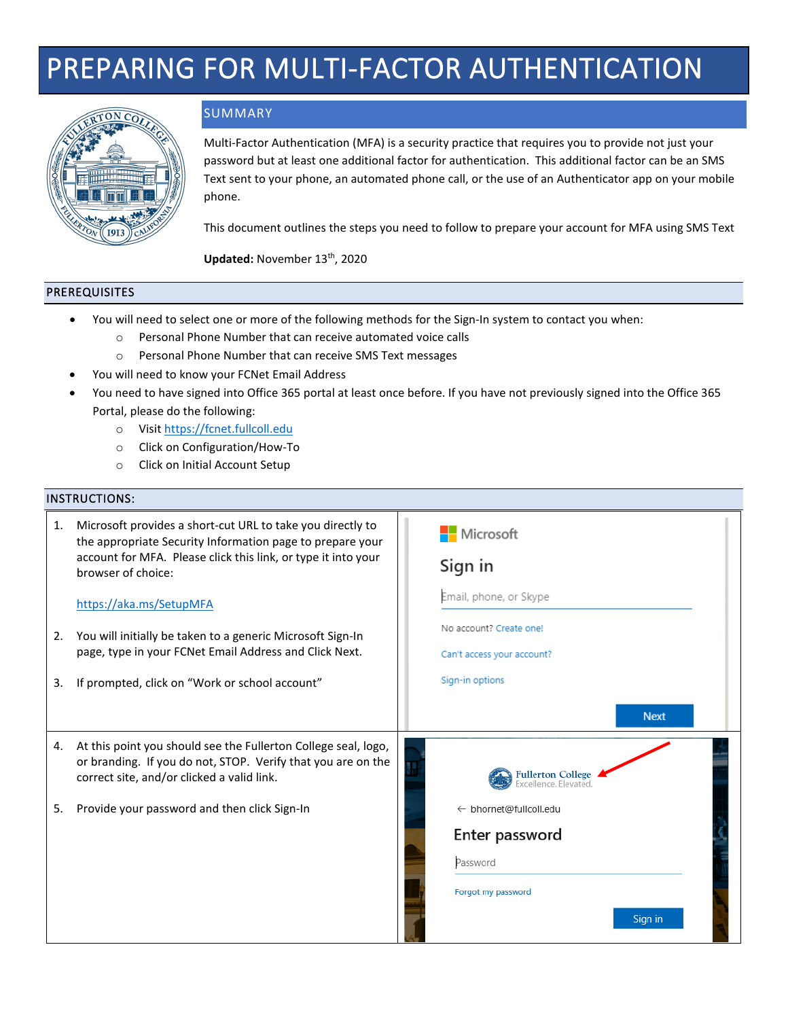# PREPARING FOR MULTI-FACTOR AUTHENTICATION



## SUMMARY

Multi-Factor Authentication (MFA) is a security practice that requires you to provide not just your password but at least one additional factor for authentication. This additional factor can be an SMS Text sent to your phone, an automated phone call, or the use of an Authenticator app on your mobile phone.

This document outlines the steps you need to follow to prepare your account for MFA using SMS Text

Updated: November 13<sup>th</sup>, 2020

#### PREREQUISITES

- You will need to select one or more of the following methods for the Sign-In system to contact you when:
	- o Personal Phone Number that can receive automated voice calls
	- o Personal Phone Number that can receive SMS Text messages
- You will need to know your FCNet Email Address
- You need to have signed into Office 365 portal at least once before. If you have not previously signed into the Office 365 Portal, please do the following:
	- o Visit [https://fcnet.fullcoll.edu](https://fcnet.fullcoll.edu/)
	- o Click on Configuration/How-To
	- o Click on Initial Account Setup

#### INSTRUCTIONS:

| 1. | Microsoft provides a short-cut URL to take you directly to<br>the appropriate Security Information page to prepare your<br>account for MFA. Please click this link, or type it into your<br>browser of choice: | Microsoft<br>Sign in                              |
|----|----------------------------------------------------------------------------------------------------------------------------------------------------------------------------------------------------------------|---------------------------------------------------|
|    | https://aka.ms/SetupMFA                                                                                                                                                                                        | Email, phone, or Skype<br>No account? Create one! |
| 2. | You will initially be taken to a generic Microsoft Sign-In<br>page, type in your FCNet Email Address and Click Next.                                                                                           | Can't access your account?                        |
| 3. | If prompted, click on "Work or school account"                                                                                                                                                                 | Sign-in options                                   |
|    |                                                                                                                                                                                                                | <b>Next</b>                                       |
| 4. | At this point you should see the Fullerton College seal, logo,<br>or branding. If you do not, STOP. Verify that you are on the<br>correct site, and/or clicked a valid link.                                   | <b>Fullerton College</b><br>Excellence. Elevated. |
| 5. | Provide your password and then click Sign-In                                                                                                                                                                   | ← bhornet@fullcoll.edu                            |
|    |                                                                                                                                                                                                                | Enter password                                    |
|    |                                                                                                                                                                                                                | Password                                          |
|    |                                                                                                                                                                                                                | Forgot my password                                |
|    |                                                                                                                                                                                                                | Sign in                                           |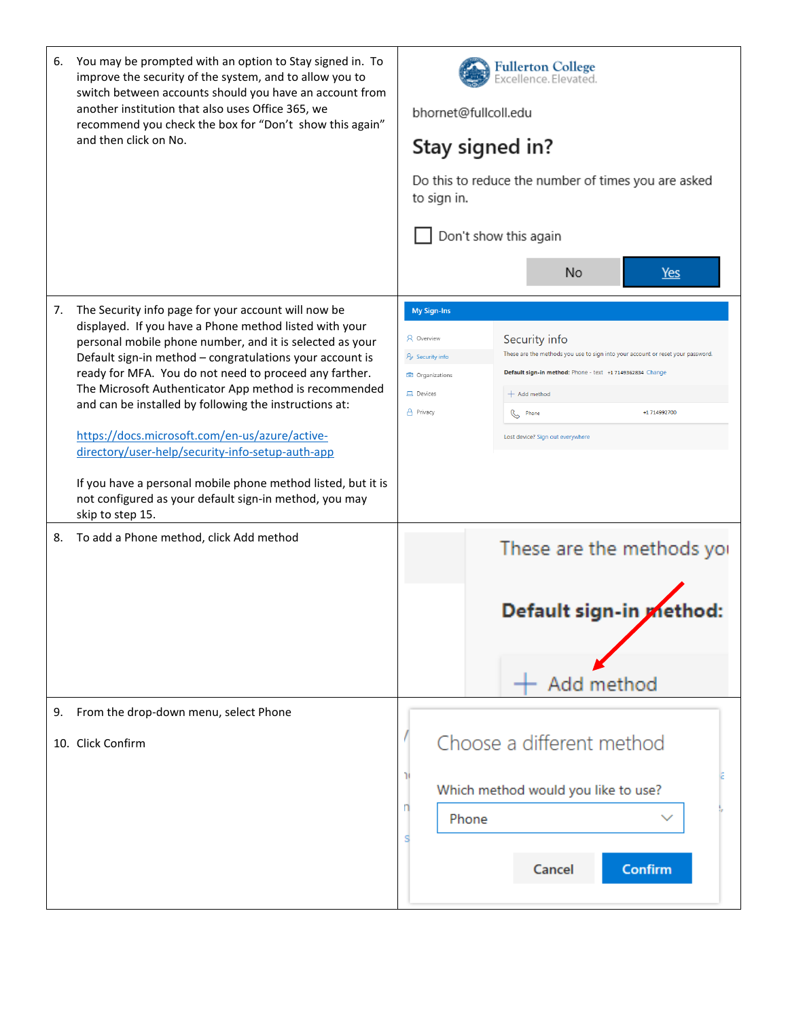| You may be prompted with an option to Stay signed in. To<br>6.<br>improve the security of the system, and to allow you to<br>switch between accounts should you have an account from<br>another institution that also uses Office 365, we<br>recommend you check the box for "Don't show this again"<br>and then click on No.                                                                                                                                                                                                                                                                                                                                                | F <mark>ullerton College</mark><br>Excellence.Elevated.<br>bhornet@fullcoll.edu<br>Stay signed in?<br>Do this to reduce the number of times you are asked<br>to sign in.<br>Don't show this again<br>No<br>Yes                                                                                                                                                                      |
|------------------------------------------------------------------------------------------------------------------------------------------------------------------------------------------------------------------------------------------------------------------------------------------------------------------------------------------------------------------------------------------------------------------------------------------------------------------------------------------------------------------------------------------------------------------------------------------------------------------------------------------------------------------------------|-------------------------------------------------------------------------------------------------------------------------------------------------------------------------------------------------------------------------------------------------------------------------------------------------------------------------------------------------------------------------------------|
| The Security info page for your account will now be<br>7.<br>displayed. If you have a Phone method listed with your<br>personal mobile phone number, and it is selected as your<br>Default sign-in method - congratulations your account is<br>ready for MFA. You do not need to proceed any farther.<br>The Microsoft Authenticator App method is recommended<br>and can be installed by following the instructions at:<br>https://docs.microsoft.com/en-us/azure/active-<br>directory/user-help/security-info-setup-auth-app<br>If you have a personal mobile phone method listed, but it is<br>not configured as your default sign-in method, you may<br>skip to step 15. | <b>My Sign-Ins</b><br>R Overview<br>Security info<br>These are the methods you use to sign into your account or reset your password.<br>$\frac{1}{2}$ Security info<br>Default sign-in method: Phone - text +1 7149362834 Change<br><b>C</b> Organizations<br><b>旦</b> Devices<br>$+$ Add method<br>A Privacy<br>+1 714992700<br><b>S</b> Phone<br>Lost device? Sign out everywhere |
| To add a Phone method, click Add method<br>8.                                                                                                                                                                                                                                                                                                                                                                                                                                                                                                                                                                                                                                | These are the methods yor<br>Default sign-in method:<br>Add method                                                                                                                                                                                                                                                                                                                  |
| From the drop-down menu, select Phone<br>9.                                                                                                                                                                                                                                                                                                                                                                                                                                                                                                                                                                                                                                  |                                                                                                                                                                                                                                                                                                                                                                                     |
| 10. Click Confirm                                                                                                                                                                                                                                                                                                                                                                                                                                                                                                                                                                                                                                                            | Choose a different method<br>Which method would you like to use?<br>Phone<br>Cancel<br><b>Confirm</b>                                                                                                                                                                                                                                                                               |